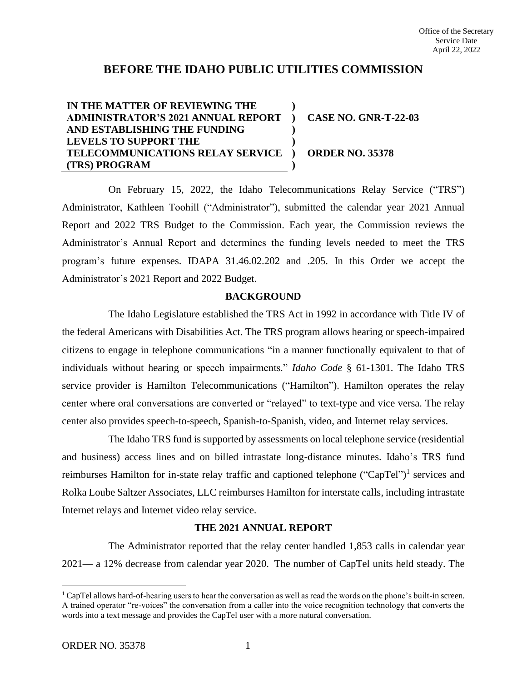# **BEFORE THE IDAHO PUBLIC UTILITIES COMMISSION**

#### **IN THE MATTER OF REVIEWING THE ADMINISTRATOR'S 2021 ANNUAL REPORT AND ESTABLISHING THE FUNDING LEVELS TO SUPPORT THE TELECOMMUNICATIONS RELAY SERVICE ) (TRS) PROGRAM ) ) ) ) ) CASE NO. GNR-T-22-03 ORDER NO. 35378**

On February 15, 2022, the Idaho Telecommunications Relay Service ("TRS") Administrator, Kathleen Toohill ("Administrator"), submitted the calendar year 2021 Annual Report and 2022 TRS Budget to the Commission. Each year, the Commission reviews the Administrator's Annual Report and determines the funding levels needed to meet the TRS program's future expenses. IDAPA 31.46.02.202 and .205. In this Order we accept the Administrator's 2021 Report and 2022 Budget.

### **BACKGROUND**

The Idaho Legislature established the TRS Act in 1992 in accordance with Title IV of the federal Americans with Disabilities Act. The TRS program allows hearing or speech-impaired citizens to engage in telephone communications "in a manner functionally equivalent to that of individuals without hearing or speech impairments." *Idaho Code* § 61-1301. The Idaho TRS service provider is Hamilton Telecommunications ("Hamilton"). Hamilton operates the relay center where oral conversations are converted or "relayed" to text-type and vice versa. The relay center also provides speech-to-speech, Spanish-to-Spanish, video, and Internet relay services.

The Idaho TRS fund is supported by assessments on local telephone service (residential and business) access lines and on billed intrastate long-distance minutes. Idaho's TRS fund reimburses Hamilton for in-state relay traffic and captioned telephone ("CapTel")<sup>1</sup> services and Rolka Loube Saltzer Associates, LLC reimburses Hamilton for interstate calls, including intrastate Internet relays and Internet video relay service.

### **THE 2021 ANNUAL REPORT**

The Administrator reported that the relay center handled 1,853 calls in calendar year 2021— a 12% decrease from calendar year 2020. The number of CapTel units held steady. The

 $<sup>1</sup>$  CapTel allows hard-of-hearing users to hear the conversation as well as read the words on the phone's built-in screen.</sup> A trained operator "re-voices" the conversation from a caller into the voice recognition technology that converts the words into a text message and provides the CapTel user with a more natural conversation.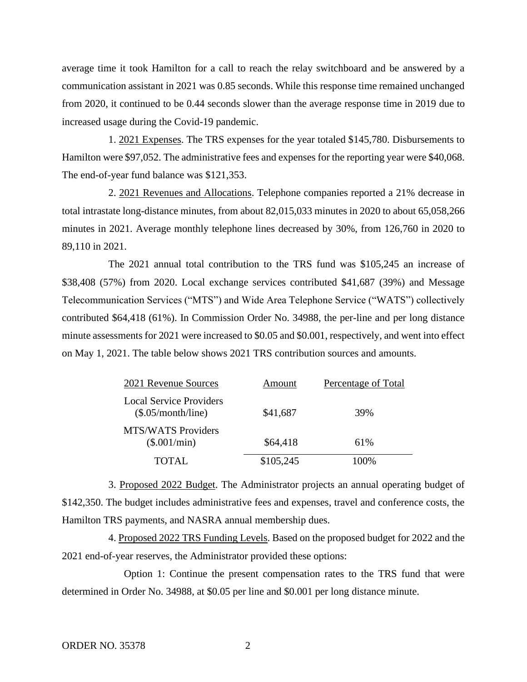average time it took Hamilton for a call to reach the relay switchboard and be answered by a communication assistant in 2021 was 0.85 seconds. While this response time remained unchanged from 2020, it continued to be 0.44 seconds slower than the average response time in 2019 due to increased usage during the Covid-19 pandemic.

1. 2021 Expenses. The TRS expenses for the year totaled \$145,780. Disbursements to Hamilton were \$97,052. The administrative fees and expenses for the reporting year were \$40,068. The end-of-year fund balance was \$121,353.

2. 2021 Revenues and Allocations. Telephone companies reported a 21% decrease in total intrastate long-distance minutes, from about 82,015,033 minutes in 2020 to about 65,058,266 minutes in 2021. Average monthly telephone lines decreased by 30%, from 126,760 in 2020 to 89,110 in 2021.

The 2021 annual total contribution to the TRS fund was \$105,245 an increase of \$38,408 (57%) from 2020. Local exchange services contributed \$41,687 (39%) and Message Telecommunication Services ("MTS") and Wide Area Telephone Service ("WATS") collectively contributed \$64,418 (61%). In Commission Order No. 34988, the per-line and per long distance minute assessments for 2021 were increased to \$0.05 and \$0.001, respectively, and went into effect on May 1, 2021. The table below shows 2021 TRS contribution sources and amounts.

| 2021 Revenue Sources                                 | Amount    | Percentage of Total |
|------------------------------------------------------|-----------|---------------------|
| <b>Local Service Providers</b><br>(\$.05/month(line) | \$41,687  | 39%                 |
| <b>MTS/WATS Providers</b><br>(\$.001/min)            | \$64,418  | 61%                 |
| TOTAL                                                | \$105,245 | 100%                |

3. Proposed 2022 Budget. The Administrator projects an annual operating budget of \$142,350. The budget includes administrative fees and expenses, travel and conference costs, the Hamilton TRS payments, and NASRA annual membership dues.

4. Proposed 2022 TRS Funding Levels. Based on the proposed budget for 2022 and the 2021 end-of-year reserves, the Administrator provided these options:

Option 1: Continue the present compensation rates to the TRS fund that were determined in Order No. 34988, at \$0.05 per line and \$0.001 per long distance minute.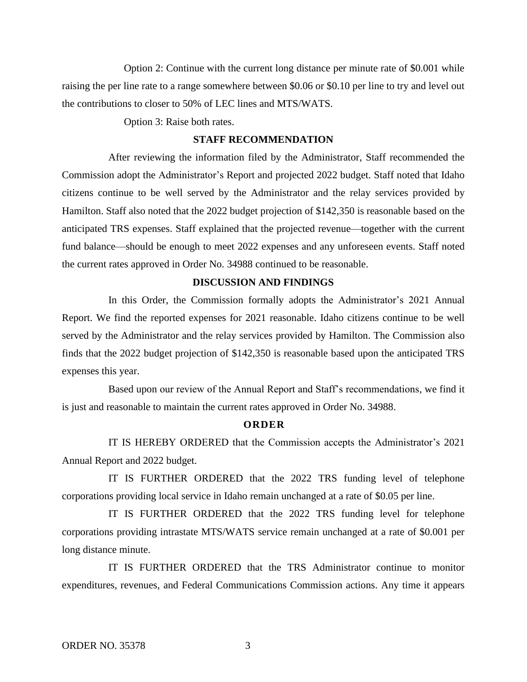Option 2: Continue with the current long distance per minute rate of \$0.001 while raising the per line rate to a range somewhere between \$0.06 or \$0.10 per line to try and level out the contributions to closer to 50% of LEC lines and MTS/WATS.

Option 3: Raise both rates.

#### **STAFF RECOMMENDATION**

After reviewing the information filed by the Administrator, Staff recommended the Commission adopt the Administrator's Report and projected 2022 budget. Staff noted that Idaho citizens continue to be well served by the Administrator and the relay services provided by Hamilton. Staff also noted that the 2022 budget projection of \$142,350 is reasonable based on the anticipated TRS expenses. Staff explained that the projected revenue—together with the current fund balance—should be enough to meet 2022 expenses and any unforeseen events. Staff noted the current rates approved in Order No. 34988 continued to be reasonable.

## **DISCUSSION AND FINDINGS**

In this Order, the Commission formally adopts the Administrator's 2021 Annual Report. We find the reported expenses for 2021 reasonable. Idaho citizens continue to be well served by the Administrator and the relay services provided by Hamilton. The Commission also finds that the 2022 budget projection of \$142,350 is reasonable based upon the anticipated TRS expenses this year.

Based upon our review of the Annual Report and Staff's recommendations, we find it is just and reasonable to maintain the current rates approved in Order No. 34988.

#### **O R D E R**

IT IS HEREBY ORDERED that the Commission accepts the Administrator's 2021 Annual Report and 2022 budget.

IT IS FURTHER ORDERED that the 2022 TRS funding level of telephone corporations providing local service in Idaho remain unchanged at a rate of \$0.05 per line.

IT IS FURTHER ORDERED that the 2022 TRS funding level for telephone corporations providing intrastate MTS/WATS service remain unchanged at a rate of \$0.001 per long distance minute.

IT IS FURTHER ORDERED that the TRS Administrator continue to monitor expenditures, revenues, and Federal Communications Commission actions. Any time it appears